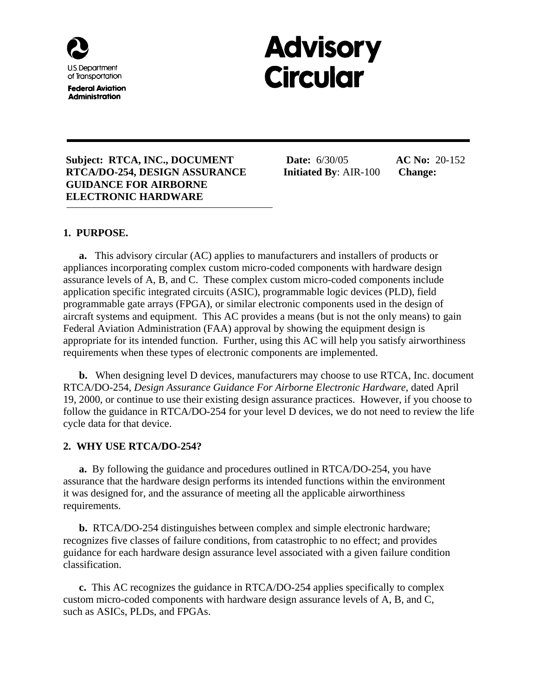

**Federal Aviation Administration** 

# **Advisory Circular**

#### **Subject: RTCA, INC., DOCUMENT Date:** 6/30/05 **AC No:** 20-152  **RTCA/DO-254, DESIGN ASSURANCE Initiated By**: AIR-100 **Change: GUIDANCE FOR AIRBORNE ELECTRONIC HARDWARE**

## **1. PURPOSE.**

**a.** This advisory circular (AC) applies to manufacturers and installers of products or appliances incorporating complex custom micro-coded components with hardware design assurance levels of A, B, and C. These complex custom micro-coded components include application specific integrated circuits (ASIC), programmable logic devices (PLD), field programmable gate arrays (FPGA), or similar electronic components used in the design of aircraft systems and equipment. This AC provides a means (but is not the only means) to gain Federal Aviation Administration (FAA) approval by showing the equipment design is appropriate for its intended function. Further, using this AC will help you satisfy airworthiness requirements when these types of electronic components are implemented.

**b.** When designing level D devices, manufacturers may choose to use RTCA, Inc. document RTCA/DO-254, *Design Assurance Guidance For Airborne Electronic Hardware*, dated April 19, 2000, or continue to use their existing design assurance practices. However, if you choose to follow the guidance in RTCA/DO-254 for your level D devices, we do not need to review the life cycle data for that device.

## **2. WHY USE RTCA/DO-254?**

**a.** By following the guidance and procedures outlined in RTCA/DO-254, you have assurance that the hardware design performs its intended functions within the environment it was designed for, and the assurance of meeting all the applicable airworthiness requirements.

**b.** RTCA/DO-254 distinguishes between complex and simple electronic hardware; recognizes five classes of failure conditions, from catastrophic to no effect; and provides guidance for each hardware design assurance level associated with a given failure condition classification.

**c.** This AC recognizes the guidance in RTCA/DO-254 applies specifically to complex custom micro-coded components with hardware design assurance levels of A, B, and C, such as ASICs, PLDs, and FPGAs.